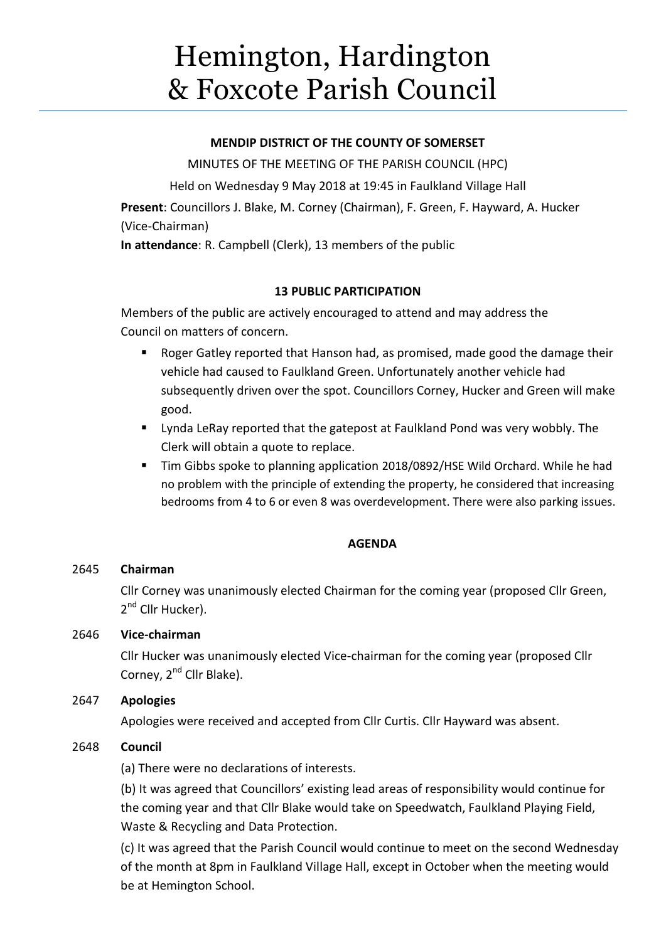# Hemington, Hardington & Foxcote Parish Council

## **MENDIP DISTRICT OF THE COUNTY OF SOMERSET**

MINUTES OF THE MEETING OF THE PARISH COUNCIL (HPC) Held on Wednesday 9 May 2018 at 19:45 in Faulkland Village Hall **Present**: Councillors J. Blake, M. Corney (Chairman), F. Green, F. Hayward, A. Hucker (Vice-Chairman) **In attendance**: R. Campbell (Clerk), 13 members of the public

# **13 PUBLIC PARTICIPATION**

Members of the public are actively encouraged to attend and may address the Council on matters of concern.

- Roger Gatley reported that Hanson had, as promised, made good the damage their vehicle had caused to Faulkland Green. Unfortunately another vehicle had subsequently driven over the spot. Councillors Corney, Hucker and Green will make good.
- **Example 2** Lynda LeRay reported that the gatepost at Faulkland Pond was very wobbly. The Clerk will obtain a quote to replace.
- Tim Gibbs spoke to planning application 2018/0892/HSE Wild Orchard. While he had no problem with the principle of extending the property, he considered that increasing bedrooms from 4 to 6 or even 8 was overdevelopment. There were also parking issues.

# **AGENDA**

# 2645 **Chairman**

Cllr Corney was unanimously elected Chairman for the coming year (proposed Cllr Green, 2<sup>nd</sup> Cllr Hucker).

# 2646 **Vice-chairman**

Cllr Hucker was unanimously elected Vice-chairman for the coming year (proposed Cllr Corney, 2<sup>nd</sup> Cllr Blake).

# 2647 **Apologies**

Apologies were received and accepted from Cllr Curtis. Cllr Hayward was absent.

# 2648 **Council**

(a) There were no declarations of interests.

(b) It was agreed that Councillors' existing lead areas of responsibility would continue for the coming year and that Cllr Blake would take on Speedwatch, Faulkland Playing Field, Waste & Recycling and Data Protection.

(c) It was agreed that the Parish Council would continue to meet on the second Wednesday of the month at 8pm in Faulkland Village Hall, except in October when the meeting would be at Hemington School.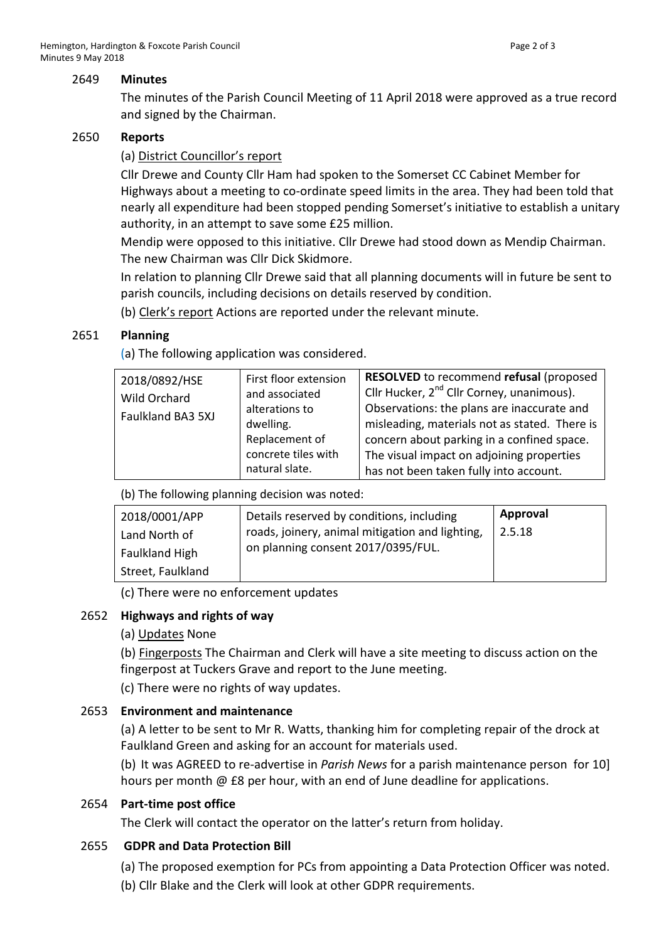#### 2649 **Minutes**

The minutes of the Parish Council Meeting of 11 April 2018 were approved as a true record and signed by the Chairman.

## 2650 **Reports**

## (a) District Councillor's report

Cllr Drewe and County Cllr Ham had spoken to the Somerset CC Cabinet Member for Highways about a meeting to co-ordinate speed limits in the area. They had been told that nearly all expenditure had been stopped pending Somerset's initiative to establish a unitary authority, in an attempt to save some £25 million.

Mendip were opposed to this initiative. Cllr Drewe had stood down as Mendip Chairman. The new Chairman was Cllr Dick Skidmore.

In relation to planning Cllr Drewe said that all planning documents will in future be sent to parish councils, including decisions on details reserved by condition.

(b) Clerk's report Actions are reported under the relevant minute.

## 2651 **Planning**

(a) The following application was considered.

| 2018/0892/HSE<br>and associated<br>Wild Orchard<br>alterations to<br>Faulkland BA3 5XJ<br>dwelling.<br>natural slate. | First floor extension<br>Replacement of<br>concrete tiles with | RESOLVED to recommend refusal (proposed<br>Cllr Hucker, 2 <sup>nd</sup> Cllr Corney, unanimous).<br>Observations: the plans are inaccurate and<br>misleading, materials not as stated. There is<br>concern about parking in a confined space.<br>The visual impact on adjoining properties<br>has not been taken fully into account. |
|-----------------------------------------------------------------------------------------------------------------------|----------------------------------------------------------------|--------------------------------------------------------------------------------------------------------------------------------------------------------------------------------------------------------------------------------------------------------------------------------------------------------------------------------------|
|-----------------------------------------------------------------------------------------------------------------------|----------------------------------------------------------------|--------------------------------------------------------------------------------------------------------------------------------------------------------------------------------------------------------------------------------------------------------------------------------------------------------------------------------------|

(b) The following planning decision was noted:

| 2018/0001/APP         | Details reserved by conditions, including       | Approval |
|-----------------------|-------------------------------------------------|----------|
| Land North of         | roads, joinery, animal mitigation and lighting, | 2.5.18   |
| <b>Faulkland High</b> | on planning consent 2017/0395/FUL.              |          |
| Street, Faulkland     |                                                 |          |

(c) There were no enforcement updates

## 2652 **Highways and rights of way**

## (a) Updates None

(b) Fingerposts The Chairman and Clerk will have a site meeting to discuss action on the fingerpost at Tuckers Grave and report to the June meeting.

(c) There were no rights of way updates.

## 2653 **Environment and maintenance**

(a) A letter to be sent to Mr R. Watts, thanking him for completing repair of the drock at Faulkland Green and asking for an account for materials used.

(b) It was AGREED to re-advertise in *Parish News* for a parish maintenance person for 10] hours per month @ £8 per hour, with an end of June deadline for applications.

## 2654 **Part-time post office**

The Clerk will contact the operator on the latter's return from holiday.

## 2655 **GDPR and Data Protection Bill**

- (a) The proposed exemption for PCs from appointing a Data Protection Officer was noted.
- (b) Cllr Blake and the Clerk will look at other GDPR requirements.